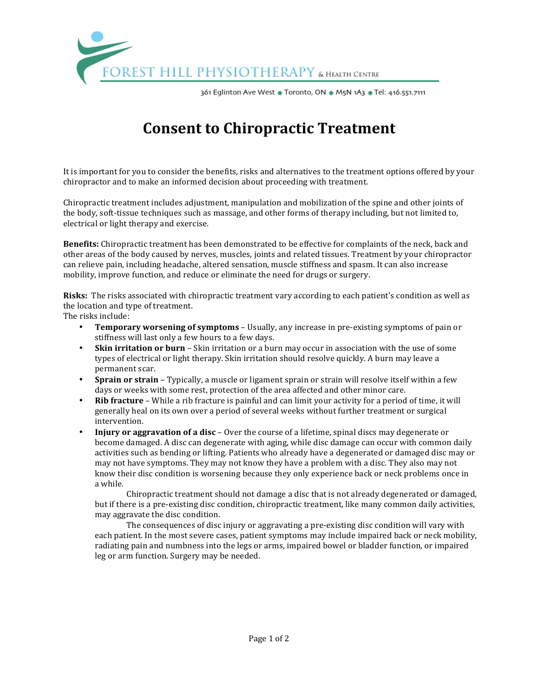

361 Eglinton Ave West . Toronto, ON . M5N 1A3 . Tel: 416.551.7111

## **Consent to Chiropractic Treatment**

It is important for you to consider the benefits, risks and alternatives to the treatment options offered by your chiropractor and to make an informed decision about proceeding with treatment.

Chiropractic treatment includes adjustment, manipulation and mobilization of the spine and other joints of the body, soft-tissue techniques such as massage, and other forms of therapy including, but not limited to, electrical or light therapy and exercise.

**Benefits:** Chiropractic treatment has been demonstrated to be effective for complaints of the neck, back and other areas of the body caused by nerves, muscles, joints and related tissues. Treatment by your chiropractor can relieve pain, including headache, altered sensation, muscle stiffness and spasm. It can also increase mobility, improve function, and reduce or eliminate the need for drugs or surgery.

**Risks:** The risks associated with chiropractic treatment vary according to each patient's condition as well as the location and type of treatment.

The risks include:

- **Temporary worsening of symptoms** Usually, any increase in pre-existing symptoms of pain or stiffness will last only a few hours to a few days.
- **Skin irritation or burn** Skin irritation or a burn may occur in association with the use of some types of electrical or light therapy. Skin irritation should resolve quickly. A burn may leave a permanent scar.
- **Sprain or strain** Typically, a muscle or ligament sprain or strain will resolve itself within a few days or weeks with some rest, protection of the area affected and other minor care.
- **Rib fracture** While a rib fracture is painful and can limit your activity for a period of time, it will generally heal on its own over a period of several weeks without further treatment or surgical intervention.
- **Injury or aggravation of a disc** Over the course of a lifetime, spinal discs may degenerate or become damaged. A disc can degenerate with aging, while disc damage can occur with common daily activities such as bending or lifting. Patients who already have a degenerated or damaged disc may or may not have symptoms. They may not know they have a problem with a disc. They also may not know their disc condition is worsening because they only experience back or neck problems once in a while.

Chiropractic treatment should not damage a disc that is not already degenerated or damaged, but if there is a pre-existing disc condition, chiropractic treatment, like many common daily activities, may aggravate the disc condition.

The consequences of disc injury or aggravating a pre-existing disc condition will vary with each patient. In the most severe cases, patient symptoms may include impaired back or neck mobility, radiating pain and numbness into the legs or arms, impaired bowel or bladder function, or impaired leg or arm function. Surgery may be needed.